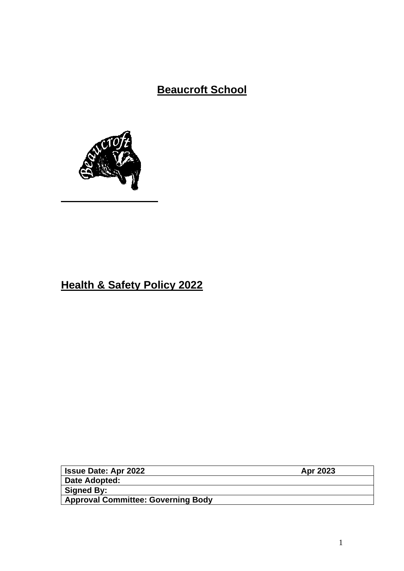# **Beaucroft School**



# **Health & Safety Policy 2022**

| <b>Issue Date: Apr 2022</b>               | Apr 2023 |
|-------------------------------------------|----------|
| Date Adopted:                             |          |
| Signed By:                                |          |
| <b>Approval Committee: Governing Body</b> |          |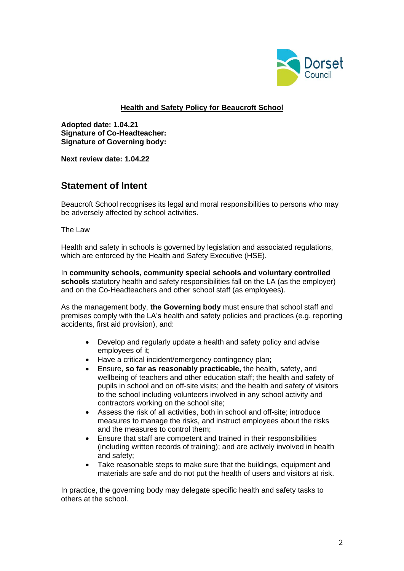

### **Health and Safety Policy for Beaucroft School**

**Adopted date: 1.04.21 Signature of Co-Headteacher: Signature of Governing body:**

**Next review date: 1.04.22**

# **Statement of Intent**

Beaucroft School recognises its legal and moral responsibilities to persons who may be adversely affected by school activities.

The Law

Health and safety in schools is governed by legislation and associated regulations, which are enforced by the Health and Safety Executive (HSE).

In **community schools, community special schools and voluntary controlled schools** statutory health and safety responsibilities fall on the LA (as the employer) and on the Co-Headteachers and other school staff (as employees).

As the management body, **the Governing body** must ensure that school staff and premises comply with the LA's health and safety policies and practices (e.g. reporting accidents, first aid provision), and:

- Develop and regularly update a health and safety policy and advise employees of it;
- Have a critical incident/emergency contingency plan;
- Ensure, **so far as reasonably practicable,** the health, safety, and wellbeing of teachers and other education staff; the health and safety of pupils in school and on off-site visits; and the health and safety of visitors to the school including volunteers involved in any school activity and contractors working on the school site;
- Assess the risk of all activities, both in school and off-site; introduce measures to manage the risks, and instruct employees about the risks and the measures to control them;
- Ensure that staff are competent and trained in their responsibilities (including written records of training); and are actively involved in health and safety;
- Take reasonable steps to make sure that the buildings, equipment and materials are safe and do not put the health of users and visitors at risk.

In practice, the governing body may delegate specific health and safety tasks to others at the school.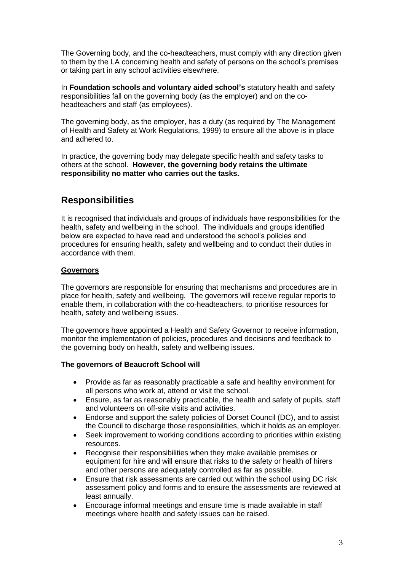The Governing body, and the co-headteachers, must comply with any direction given to them by the LA concerning health and safety of persons on the school's premises or taking part in any school activities elsewhere.

In **Foundation schools and voluntary aided school's** statutory health and safety responsibilities fall on the governing body (as the employer) and on the coheadteachers and staff (as employees).

The governing body, as the employer, has a duty (as required by The Management of Health and Safety at Work Regulations, 1999) to ensure all the above is in place and adhered to.

In practice, the governing body may delegate specific health and safety tasks to others at the school. **However, the governing body retains the ultimate responsibility no matter who carries out the tasks.**

# **Responsibilities**

It is recognised that individuals and groups of individuals have responsibilities for the health, safety and wellbeing in the school. The individuals and groups identified below are expected to have read and understood the school's policies and procedures for ensuring health, safety and wellbeing and to conduct their duties in accordance with them.

## **Governors**

The governors are responsible for ensuring that mechanisms and procedures are in place for health, safety and wellbeing. The governors will receive regular reports to enable them, in collaboration with the co-headteachers, to prioritise resources for health, safety and wellbeing issues.

The governors have appointed a Health and Safety Governor to receive information, monitor the implementation of policies, procedures and decisions and feedback to the governing body on health, safety and wellbeing issues.

#### **The governors of Beaucroft School will**

- Provide as far as reasonably practicable a safe and healthy environment for all persons who work at, attend or visit the school.
- Ensure, as far as reasonably practicable, the health and safety of pupils, staff and volunteers on off-site visits and activities.
- Endorse and support the safety policies of Dorset Council (DC), and to assist the Council to discharge those responsibilities, which it holds as an employer.
- Seek improvement to working conditions according to priorities within existing resources.
- Recognise their responsibilities when they make available premises or equipment for hire and will ensure that risks to the safety or health of hirers and other persons are adequately controlled as far as possible.
- Ensure that risk assessments are carried out within the school using DC risk assessment policy and forms and to ensure the assessments are reviewed at least annually.
- Encourage informal meetings and ensure time is made available in staff meetings where health and safety issues can be raised.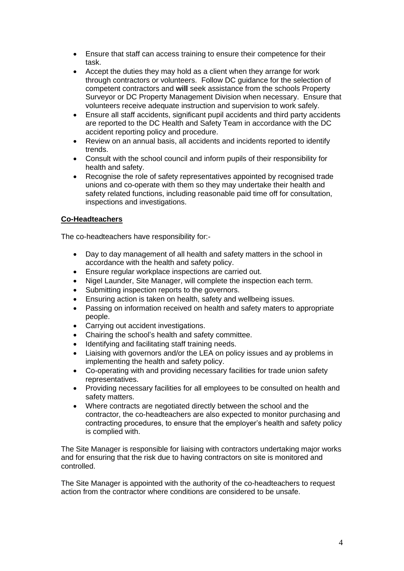- Ensure that staff can access training to ensure their competence for their task.
- Accept the duties they may hold as a client when they arrange for work through contractors or volunteers. Follow DC guidance for the selection of competent contractors and **will** seek assistance from the schools Property Surveyor or DC Property Management Division when necessary. Ensure that volunteers receive adequate instruction and supervision to work safely.
- Ensure all staff accidents, significant pupil accidents and third party accidents are reported to the DC Health and Safety Team in accordance with the DC accident reporting policy and procedure.
- Review on an annual basis, all accidents and incidents reported to identify trends.
- Consult with the school council and inform pupils of their responsibility for health and safety.
- Recognise the role of safety representatives appointed by recognised trade unions and co-operate with them so they may undertake their health and safety related functions, including reasonable paid time off for consultation, inspections and investigations.

## **Co-Headteachers**

The co-headteachers have responsibility for:-

- Day to day management of all health and safety matters in the school in accordance with the health and safety policy.
- Ensure regular workplace inspections are carried out.
- Nigel Launder, Site Manager, will complete the inspection each term.
- Submitting inspection reports to the governors.
- Ensuring action is taken on health, safety and wellbeing issues.
- Passing on information received on health and safety maters to appropriate people.
- Carrying out accident investigations.
- Chairing the school's health and safety committee.
- Identifying and facilitating staff training needs.
- Liaising with governors and/or the LEA on policy issues and ay problems in implementing the health and safety policy.
- Co-operating with and providing necessary facilities for trade union safety representatives.
- Providing necessary facilities for all employees to be consulted on health and safety matters.
- Where contracts are negotiated directly between the school and the contractor, the co-headteachers are also expected to monitor purchasing and contracting procedures, to ensure that the employer's health and safety policy is complied with.

The Site Manager is responsible for liaising with contractors undertaking major works and for ensuring that the risk due to having contractors on site is monitored and controlled.

The Site Manager is appointed with the authority of the co-headteachers to request action from the contractor where conditions are considered to be unsafe.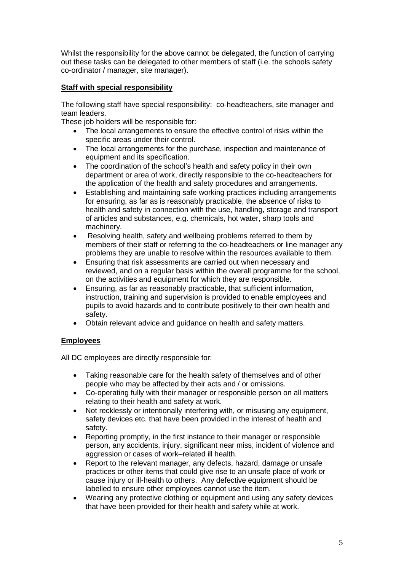Whilst the responsibility for the above cannot be delegated, the function of carrying out these tasks can be delegated to other members of staff (i.e. the schools safety co-ordinator / manager, site manager).

# **Staff with special responsibility**

The following staff have special responsibility: co-headteachers, site manager and team leaders.

These job holders will be responsible for:

- The local arrangements to ensure the effective control of risks within the specific areas under their control.
- The local arrangements for the purchase, inspection and maintenance of equipment and its specification.
- The coordination of the school's health and safety policy in their own department or area of work, directly responsible to the co-headteachers for the application of the health and safety procedures and arrangements.
- Establishing and maintaining safe working practices including arrangements for ensuring, as far as is reasonably practicable, the absence of risks to health and safety in connection with the use, handling, storage and transport of articles and substances, e.g. chemicals, hot water, sharp tools and machinery.
- Resolving health, safety and wellbeing problems referred to them by members of their staff or referring to the co-headteachers or line manager any problems they are unable to resolve within the resources available to them.
- Ensuring that risk assessments are carried out when necessary and reviewed, and on a regular basis within the overall programme for the school, on the activities and equipment for which they are responsible.
- Ensuring, as far as reasonably practicable, that sufficient information, instruction, training and supervision is provided to enable employees and pupils to avoid hazards and to contribute positively to their own health and safety.
- Obtain relevant advice and guidance on health and safety matters.

# **Employees**

All DC employees are directly responsible for:

- Taking reasonable care for the health safety of themselves and of other people who may be affected by their acts and / or omissions.
- Co-operating fully with their manager or responsible person on all matters relating to their health and safety at work.
- Not recklessly or intentionally interfering with, or misusing any equipment, safety devices etc. that have been provided in the interest of health and safety.
- Reporting promptly, in the first instance to their manager or responsible person, any accidents, injury, significant near miss, incident of violence and aggression or cases of work–related ill health.
- Report to the relevant manager, any defects, hazard, damage or unsafe practices or other items that could give rise to an unsafe place of work or cause injury or ill-health to others. Any defective equipment should be labelled to ensure other employees cannot use the item.
- Wearing any protective clothing or equipment and using any safety devices that have been provided for their health and safety while at work.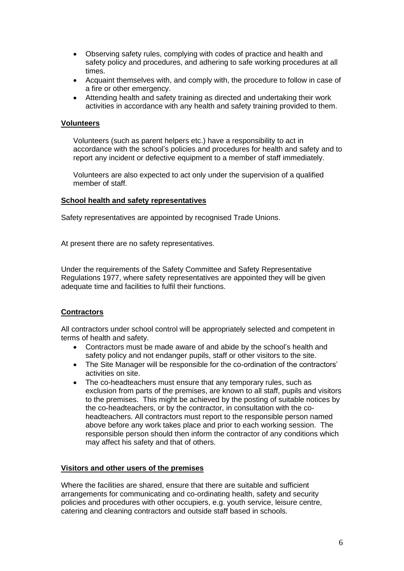- Observing safety rules, complying with codes of practice and health and safety policy and procedures, and adhering to safe working procedures at all times.
- Acquaint themselves with, and comply with, the procedure to follow in case of a fire or other emergency.
- Attending health and safety training as directed and undertaking their work activities in accordance with any health and safety training provided to them.

#### **Volunteers**

Volunteers (such as parent helpers etc.) have a responsibility to act in accordance with the school's policies and procedures for health and safety and to report any incident or defective equipment to a member of staff immediately.

Volunteers are also expected to act only under the supervision of a qualified member of staff.

#### **School health and safety representatives**

Safety representatives are appointed by recognised Trade Unions.

At present there are no safety representatives.

Under the requirements of the Safety Committee and Safety Representative Regulations 1977, where safety representatives are appointed they will be given adequate time and facilities to fulfil their functions.

#### **Contractors**

All contractors under school control will be appropriately selected and competent in terms of health and safety.

- Contractors must be made aware of and abide by the school's health and safety policy and not endanger pupils, staff or other visitors to the site.
- The Site Manager will be responsible for the co-ordination of the contractors' activities on site.
- The co-headteachers must ensure that any temporary rules, such as exclusion from parts of the premises, are known to all staff, pupils and visitors to the premises. This might be achieved by the posting of suitable notices by the co-headteachers, or by the contractor, in consultation with the coheadteachers. All contractors must report to the responsible person named above before any work takes place and prior to each working session. The responsible person should then inform the contractor of any conditions which may affect his safety and that of others.

#### **Visitors and other users of the premises**

Where the facilities are shared, ensure that there are suitable and sufficient arrangements for communicating and co-ordinating health, safety and security policies and procedures with other occupiers, e.g. youth service, leisure centre, catering and cleaning contractors and outside staff based in schools.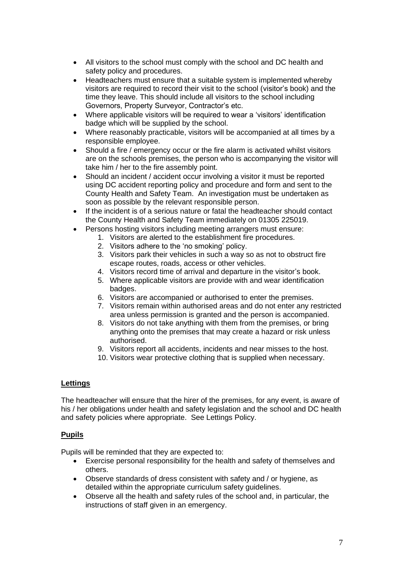- All visitors to the school must comply with the school and DC health and safety policy and procedures.
- Headteachers must ensure that a suitable system is implemented whereby visitors are required to record their visit to the school (visitor's book) and the time they leave. This should include all visitors to the school including Governors, Property Surveyor, Contractor's etc.
- Where applicable visitors will be required to wear a 'visitors' identification badge which will be supplied by the school.
- Where reasonably practicable, visitors will be accompanied at all times by a responsible employee.
- Should a fire / emergency occur or the fire alarm is activated whilst visitors are on the schools premises, the person who is accompanying the visitor will take him / her to the fire assembly point.
- Should an incident / accident occur involving a visitor it must be reported using DC accident reporting policy and procedure and form and sent to the County Health and Safety Team. An investigation must be undertaken as soon as possible by the relevant responsible person.
- If the incident is of a serious nature or fatal the headteacher should contact the County Health and Safety Team immediately on 01305 225019.
- Persons hosting visitors including meeting arrangers must ensure:
	- 1. Visitors are alerted to the establishment fire procedures.
	- 2. Visitors adhere to the 'no smoking' policy.
	- 3. Visitors park their vehicles in such a way so as not to obstruct fire escape routes, roads, access or other vehicles.
	- 4. Visitors record time of arrival and departure in the visitor's book.
	- 5. Where applicable visitors are provide with and wear identification badges.
	- 6. Visitors are accompanied or authorised to enter the premises.
	- 7. Visitors remain within authorised areas and do not enter any restricted area unless permission is granted and the person is accompanied.
	- 8. Visitors do not take anything with them from the premises, or bring anything onto the premises that may create a hazard or risk unless authorised.
	- 9. Visitors report all accidents, incidents and near misses to the host.
	- 10. Visitors wear protective clothing that is supplied when necessary.

#### **Lettings**

The headteacher will ensure that the hirer of the premises, for any event, is aware of his / her obligations under health and safety legislation and the school and DC health and safety policies where appropriate. See Lettings Policy.

# **Pupils**

Pupils will be reminded that they are expected to:

- Exercise personal responsibility for the health and safety of themselves and others.
- Observe standards of dress consistent with safety and / or hygiene, as detailed within the appropriate curriculum safety guidelines.
- Observe all the health and safety rules of the school and, in particular, the instructions of staff given in an emergency.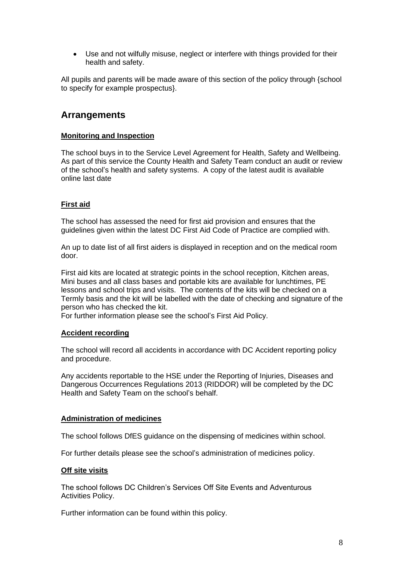• Use and not wilfully misuse, neglect or interfere with things provided for their health and safety.

All pupils and parents will be made aware of this section of the policy through {school to specify for example prospectus}.

# **Arrangements**

#### **Monitoring and Inspection**

The school buys in to the Service Level Agreement for Health, Safety and Wellbeing. As part of this service the County Health and Safety Team conduct an audit or review of the school's health and safety systems. A copy of the latest audit is available online last date

## **First aid**

The school has assessed the need for first aid provision and ensures that the guidelines given within the latest DC First Aid Code of Practice are complied with.

An up to date list of all first aiders is displayed in reception and on the medical room door.

First aid kits are located at strategic points in the school reception, Kitchen areas, Mini buses and all class bases and portable kits are available for lunchtimes, PE lessons and school trips and visits. The contents of the kits will be checked on a Termly basis and the kit will be labelled with the date of checking and signature of the person who has checked the kit.

For further information please see the school's First Aid Policy.

#### **Accident recording**

The school will record all accidents in accordance with DC Accident reporting policy and procedure.

Any accidents reportable to the HSE under the Reporting of Injuries, Diseases and Dangerous Occurrences Regulations 2013 (RIDDOR) will be completed by the DC Health and Safety Team on the school's behalf.

#### **Administration of medicines**

The school follows DfES guidance on the dispensing of medicines within school.

For further details please see the school's administration of medicines policy.

#### **Off site visits**

The school follows DC Children's Services Off Site Events and Adventurous Activities Policy.

Further information can be found within this policy.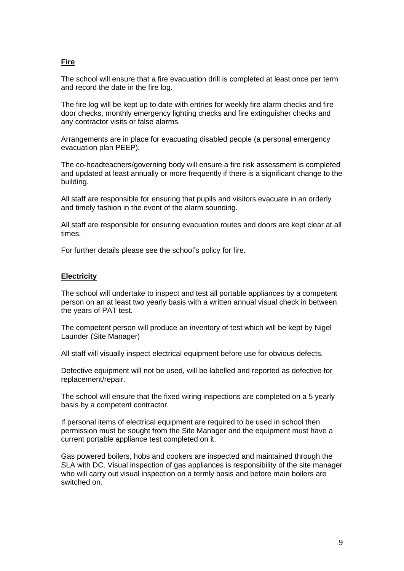# **Fire**

The school will ensure that a fire evacuation drill is completed at least once per term and record the date in the fire log.

The fire log will be kept up to date with entries for weekly fire alarm checks and fire door checks, monthly emergency lighting checks and fire extinguisher checks and any contractor visits or false alarms.

Arrangements are in place for evacuating disabled people (a personal emergency evacuation plan PEEP).

The co-headteachers/governing body will ensure a fire risk assessment is completed and updated at least annually or more frequently if there is a significant change to the building.

All staff are responsible for ensuring that pupils and visitors evacuate in an orderly and timely fashion in the event of the alarm sounding.

All staff are responsible for ensuring evacuation routes and doors are kept clear at all times.

For further details please see the school's policy for fire.

#### **Electricity**

The school will undertake to inspect and test all portable appliances by a competent person on an at least two yearly basis with a written annual visual check in between the years of PAT test.

The competent person will produce an inventory of test which will be kept by Nigel Launder (Site Manager)

All staff will visually inspect electrical equipment before use for obvious defects.

Defective equipment will not be used, will be labelled and reported as defective for replacement/repair.

The school will ensure that the fixed wiring inspections are completed on a 5 yearly basis by a competent contractor.

If personal items of electrical equipment are required to be used in school then permission must be sought from the Site Manager and the equipment must have a current portable appliance test completed on it.

Gas powered boilers, hobs and cookers are inspected and maintained through the SLA with DC. Visual inspection of gas appliances is responsibility of the site manager who will carry out visual inspection on a termly basis and before main boilers are switched on.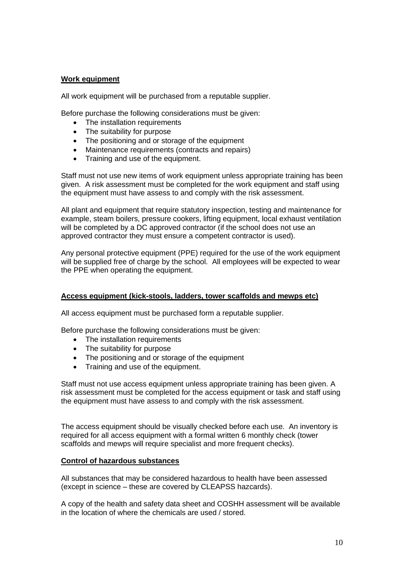#### **Work equipment**

All work equipment will be purchased from a reputable supplier.

Before purchase the following considerations must be given:

- The installation requirements
- The suitability for purpose
- The positioning and or storage of the equipment
- Maintenance requirements (contracts and repairs)
- Training and use of the equipment.

Staff must not use new items of work equipment unless appropriate training has been given. A risk assessment must be completed for the work equipment and staff using the equipment must have assess to and comply with the risk assessment.

All plant and equipment that require statutory inspection, testing and maintenance for example, steam boilers, pressure cookers, lifting equipment, local exhaust ventilation will be completed by a DC approved contractor (if the school does not use an approved contractor they must ensure a competent contractor is used).

Any personal protective equipment (PPE) required for the use of the work equipment will be supplied free of charge by the school. All employees will be expected to wear the PPE when operating the equipment.

#### **Access equipment (kick-stools, ladders, tower scaffolds and mewps etc)**

All access equipment must be purchased form a reputable supplier.

Before purchase the following considerations must be given:

- The installation requirements
- The suitability for purpose
- The positioning and or storage of the equipment
- Training and use of the equipment.

Staff must not use access equipment unless appropriate training has been given. A risk assessment must be completed for the access equipment or task and staff using the equipment must have assess to and comply with the risk assessment.

The access equipment should be visually checked before each use. An inventory is required for all access equipment with a formal written 6 monthly check (tower scaffolds and mewps will require specialist and more frequent checks).

#### **Control of hazardous substances**

All substances that may be considered hazardous to health have been assessed (except in science – these are covered by CLEAPSS hazcards).

A copy of the health and safety data sheet and COSHH assessment will be available in the location of where the chemicals are used / stored.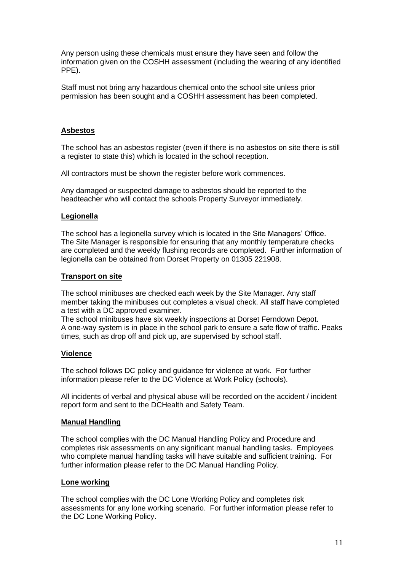Any person using these chemicals must ensure they have seen and follow the information given on the COSHH assessment (including the wearing of any identified PPE).

Staff must not bring any hazardous chemical onto the school site unless prior permission has been sought and a COSHH assessment has been completed.

#### **Asbestos**

The school has an asbestos register (even if there is no asbestos on site there is still a register to state this) which is located in the school reception.

All contractors must be shown the register before work commences.

Any damaged or suspected damage to asbestos should be reported to the headteacher who will contact the schools Property Surveyor immediately.

#### **Legionella**

The school has a legionella survey which is located in the Site Managers' Office. The Site Manager is responsible for ensuring that any monthly temperature checks are completed and the weekly flushing records are completed. Further information of legionella can be obtained from Dorset Property on 01305 221908.

#### **Transport on site**

The school minibuses are checked each week by the Site Manager. Any staff member taking the minibuses out completes a visual check. All staff have completed a test with a DC approved examiner.

The school minibuses have six weekly inspections at Dorset Ferndown Depot. A one-way system is in place in the school park to ensure a safe flow of traffic. Peaks times, such as drop off and pick up, are supervised by school staff.

#### **Violence**

The school follows DC policy and guidance for violence at work. For further information please refer to the DC Violence at Work Policy (schools).

All incidents of verbal and physical abuse will be recorded on the accident / incident report form and sent to the DCHealth and Safety Team.

#### **Manual Handling**

The school complies with the DC Manual Handling Policy and Procedure and completes risk assessments on any significant manual handling tasks. Employees who complete manual handling tasks will have suitable and sufficient training. For further information please refer to the DC Manual Handling Policy.

#### **Lone working**

The school complies with the DC Lone Working Policy and completes risk assessments for any lone working scenario. For further information please refer to the DC Lone Working Policy.